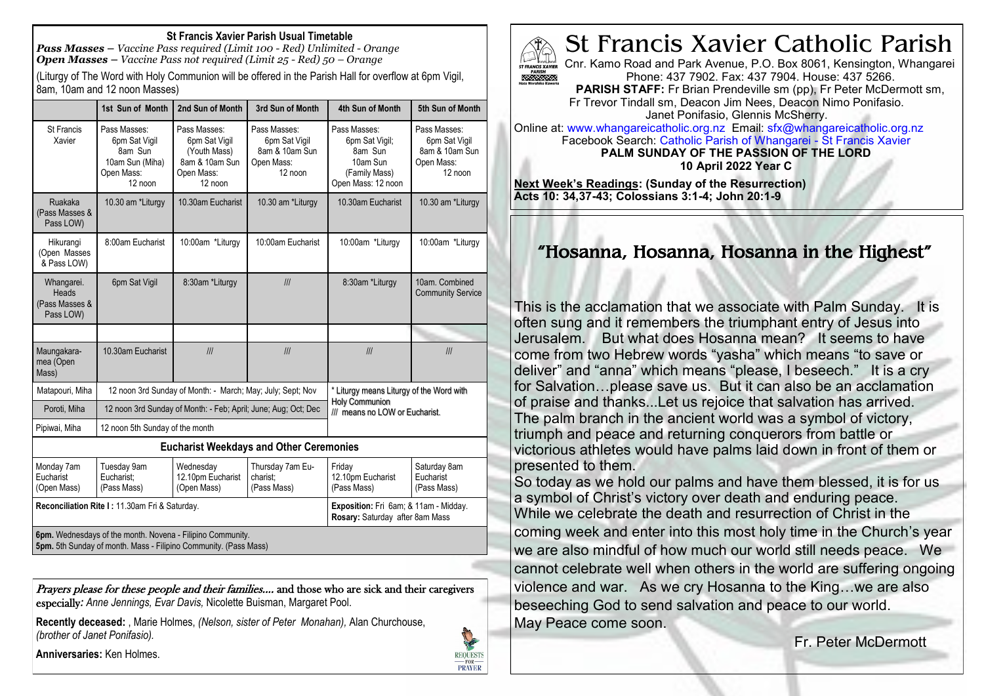### **St Francis Xavier Parish Usual Timetable**

*Pass Masses – Vaccine Pass required (Limit 100 - Red) Unlimited - Orange Open Masses – Vaccine Pass not required (Limit 25 - Red) 50 – Orange*

(Liturgy of The Word with Holy Communion will be offered in the Parish Hall for overflow at 6pm Vigil, 8am, 10am and 12 noon Masses)

|                                                    | 1st Sun of Month                                                                                                               | 2nd Sun of Month                                                                         | 3rd Sun of Month                                                         | 4th Sun of Month                                                                                    | 5th Sun of Month                                                         |
|----------------------------------------------------|--------------------------------------------------------------------------------------------------------------------------------|------------------------------------------------------------------------------------------|--------------------------------------------------------------------------|-----------------------------------------------------------------------------------------------------|--------------------------------------------------------------------------|
| <b>St Francis</b><br>Xavier                        | Pass Masses:<br>6pm Sat Vigil<br>8am Sun<br>10am Sun (Miha)<br>Open Mass:<br>12 noon                                           | Pass Masses:<br>6pm Sat Vigil<br>(Youth Mass)<br>8am & 10am Sun<br>Open Mass:<br>12 noon | Pass Masses:<br>6pm Sat Vigil<br>8am & 10am Sun<br>Open Mass:<br>12 noon | Pass Masses:<br>6pm Sat Vigil;<br>8am Sun<br>10am Sun<br>(Family Mass)<br>Open Mass: 12 noon        | Pass Masses:<br>6pm Sat Vigil<br>8am & 10am Sun<br>Open Mass:<br>12 noon |
| Ruakaka<br>(Pass Masses &<br>Pass LOW)             | 10.30 am *Liturgy                                                                                                              | 10.30am Eucharist                                                                        | 10.30 am *Liturgy                                                        | 10.30am Eucharist                                                                                   | 10.30 am *Liturgy                                                        |
| Hikurangi<br>(Open Masses<br>& Pass LOW)           | 8:00am Eucharist                                                                                                               | 10:00am *Liturgy                                                                         | 10:00am Eucharist                                                        | 10:00am *Liturgy                                                                                    | 10:00am *Liturgy                                                         |
| Whangarei.<br>Heads<br>(Pass Masses &<br>Pass LOW) | 6pm Sat Vigil                                                                                                                  | 8:30am *Liturgy                                                                          | III                                                                      | 8:30am *Liturgy                                                                                     | 10am. Combined<br><b>Community Service</b>                               |
|                                                    |                                                                                                                                |                                                                                          |                                                                          |                                                                                                     |                                                                          |
| Maungakara-<br>mea (Open<br>Mass)                  | 10.30am Eucharist                                                                                                              | III                                                                                      | III                                                                      | III                                                                                                 | III                                                                      |
| Matapouri, Miha                                    | 12 noon 3rd Sunday of Month: - March; May; July; Sept; Nov                                                                     |                                                                                          |                                                                          | * Liturgy means Liturgy of the Word with<br><b>Holy Communion</b><br>III means no LOW or Eucharist. |                                                                          |
| Poroti, Miha                                       | 12 noon 3rd Sunday of Month: - Feb; April; June; Aug; Oct; Dec                                                                 |                                                                                          |                                                                          |                                                                                                     |                                                                          |
| Pipiwai, Miha                                      | 12 noon 5th Sunday of the month                                                                                                |                                                                                          |                                                                          |                                                                                                     |                                                                          |
|                                                    |                                                                                                                                |                                                                                          | <b>Eucharist Weekdays and Other Ceremonies</b>                           |                                                                                                     |                                                                          |
| Monday 7am<br>Eucharist<br>(Open Mass)             | Tuesday 9am<br>Eucharist:<br>(Pass Mass)                                                                                       | Wednesday<br>12.10pm Eucharist<br>(Open Mass)                                            | Thursday 7am Eu-<br>charist:<br>(Pass Mass)                              | Friday<br>12.10pm Eucharist<br>(Pass Mass)                                                          | Saturday 8am<br>Eucharist<br>(Pass Mass)                                 |
| Reconciliation Rite I: 11.30am Fri & Saturday.     |                                                                                                                                |                                                                                          |                                                                          | Exposition: Fri 6am; & 11am - Midday.<br>Rosary: Saturday after 8am Mass                            |                                                                          |
|                                                    | 6pm. Wednesdays of the month. Novena - Filipino Community.<br>5pm. 5th Sunday of month. Mass - Filipino Community. (Pass Mass) |                                                                                          |                                                                          |                                                                                                     |                                                                          |

Prayers please for these people and their families.... and those who are sick and their caregivers especially*: Anne Jennings, Evar Davis,* Nicolette Buisman, Margaret Pool.

**Recently deceased:** , Marie Holmes, *(Nelson, sister of Peter Monahan),* Alan Churchouse, *(brother of Janet Ponifasio).*

**Anniversaries:** Ken Holmes.





Cnr. Kamo Road and Park Avenue, P.O. Box 8061, Kensington, Whangarei Phone: 437 7902. Fax: 437 7904. House: 437 5266. 3232323

**PARISH STAFF:** Fr Brian Prendeville sm (pp), Fr Peter McDermott sm, Fr Trevor Tindall sm, Deacon Jim Nees, Deacon Nimo Ponifasio. Janet Ponifasio, Glennis McSherry.

Online at: www.whangareicatholic.org.nz Email: sfx@whangareicatholic.org.nz Facebook Search: Catholic Parish of Whangarei - St Francis Xavier **PALM SUNDAY OF THE PASSION OF THE LORD 10 April 2022 Year C**

**Next Week's Readings: (Sunday of the Resurrection) Acts 10: 34,37-43; Colossians 3:1-4; John 20:1-9**

# "Hosanna, Hosanna, Hosanna in the Highest"

This is the acclamation that we associate with Palm Sunday. It is often sung and it remembers the triumphant entry of Jesus into Jerusalem. But what does Hosanna mean? It seems to have come from two Hebrew words "yasha" which means "to save or deliver" and "anna" which means "please, I beseech." It is a cry for Salvation…please save us. But it can also be an acclamation of praise and thanks...Let us rejoice that salvation has arrived. The palm branch in the ancient world was a symbol of victory, triumph and peace and returning conquerors from battle or victorious athletes would have palms laid down in front of them or presented to them.

So today as we hold our palms and have them blessed, it is for us a symbol of Christ's victory over death and enduring peace. While we celebrate the death and resurrection of Christ in the coming week and enter into this most holy time in the Church's year we are also mindful of how much our world still needs peace. We cannot celebrate well when others in the world are suffering ongoing violence and war. As we cry Hosanna to the King…we are also beseeching God to send salvation and peace to our world. May Peace come soon.

Fr. Peter McDermott